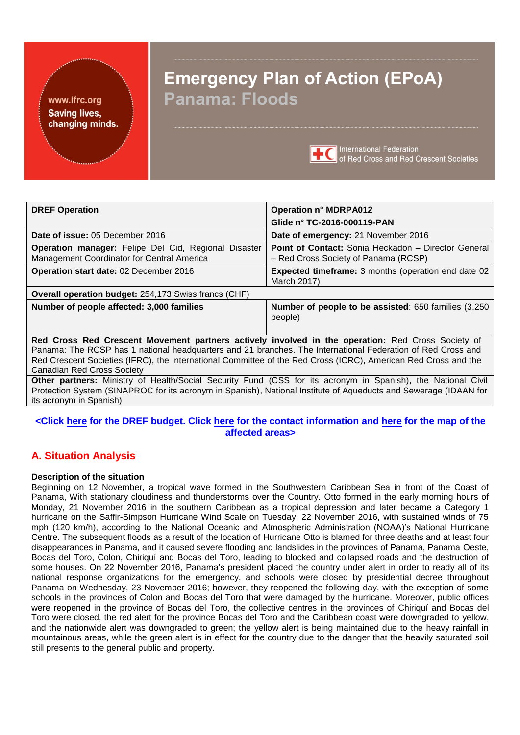<span id="page-0-0"></span>

# **Emergency Plan of Action (EPoA) Panama: Floods**



**International Federation** of Red Cross and Red Crescent Societies

| <b>DREF Operation</b>                                                                                                                                                                                                                                              | <b>Operation n° MDRPA012</b>                                                                |  |  |  |  |  |
|--------------------------------------------------------------------------------------------------------------------------------------------------------------------------------------------------------------------------------------------------------------------|---------------------------------------------------------------------------------------------|--|--|--|--|--|
|                                                                                                                                                                                                                                                                    | Glide n° TC-2016-000119-PAN                                                                 |  |  |  |  |  |
|                                                                                                                                                                                                                                                                    |                                                                                             |  |  |  |  |  |
| Date of issue: 05 December 2016                                                                                                                                                                                                                                    | Date of emergency: 21 November 2016                                                         |  |  |  |  |  |
| Operation manager: Felipe Del Cid, Regional Disaster<br>Management Coordinator for Central America                                                                                                                                                                 | Point of Contact: Sonia Heckadon - Director General<br>- Red Cross Society of Panama (RCSP) |  |  |  |  |  |
| Operation start date: 02 December 2016                                                                                                                                                                                                                             | <b>Expected timeframe:</b> 3 months (operation end date 02<br>March 2017)                   |  |  |  |  |  |
| Overall operation budget: 254,173 Swiss francs (CHF)                                                                                                                                                                                                               |                                                                                             |  |  |  |  |  |
| Number of people affected: 3,000 families                                                                                                                                                                                                                          | <b>Number of people to be assisted: 650 families (3,250)</b><br>people)                     |  |  |  |  |  |
| Red Cross Red Crescent Movement partners actively involved in the operation: Red Cross Society of                                                                                                                                                                  |                                                                                             |  |  |  |  |  |
| Panama: The RCSP has 1 national headquarters and 21 branches. The International Federation of Red Cross and<br>Red Crescent Societies (IFRC), the International Committee of the Red Cross (ICRC), American Red Cross and the<br><b>Canadian Red Cross Society</b> |                                                                                             |  |  |  |  |  |
| Other partners: Ministry of Health/Social Security Fund (CSS for its acronym in Spanish), the National Civil                                                                                                                                                       |                                                                                             |  |  |  |  |  |

Protection System (SINAPROC for its acronym in Spanish), National Institute of Aqueducts and Sewerage (IDAAN for its acronym in Spanish)

## **<Click here [for the DREF budget](#page-10-0). Click here [for the contact information](#page-8-0) and here [for the map of the](#page-11-0) [affected areas](#page-11-0)>**

# **A. Situation Analysis**

#### **Description of the situation**

Beginning on 12 November, a tropical wave formed in the Southwestern Caribbean Sea in front of the Coast of Panama, With stationary cloudiness and thunderstorms over the Country. Otto formed in the early morning hours of Monday, 21 November 2016 in the southern Caribbean as a tropical depression and later became a Category 1 hurricane on the Saffir-Simpson Hurricane Wind Scale on Tuesday, 22 November 2016, with sustained winds of 75 mph (120 km/h), according to the National Oceanic and Atmospheric Administration (NOAA)'s National Hurricane Centre. The subsequent floods as a result of the location of Hurricane Otto is blamed for three deaths and at least four disappearances in Panama, and it caused severe flooding and landslides in the provinces of Panama, Panama Oeste, Bocas del Toro, Colon, Chiriquí and Bocas del Toro, leading to blocked and collapsed roads and the destruction of some houses. On 22 November 2016, Panama's president placed the country under alert in order to ready all of its national response organizations for the emergency, and schools were closed by presidential decree throughout Panama on Wednesday, 23 November 2016; however, they reopened the following day, with the exception of some schools in the provinces of Colon and Bocas del Toro that were damaged by the hurricane. Moreover, public offices were reopened in the province of Bocas del Toro, the collective centres in the provinces of Chiriquí and Bocas del Toro were closed, the red alert for the province Bocas del Toro and the Caribbean coast were downgraded to yellow, and the nationwide alert was downgraded to green; the yellow alert is being maintained due to the heavy rainfall in mountainous areas, while the green alert is in effect for the country due to the danger that the heavily saturated soil still presents to the general public and property.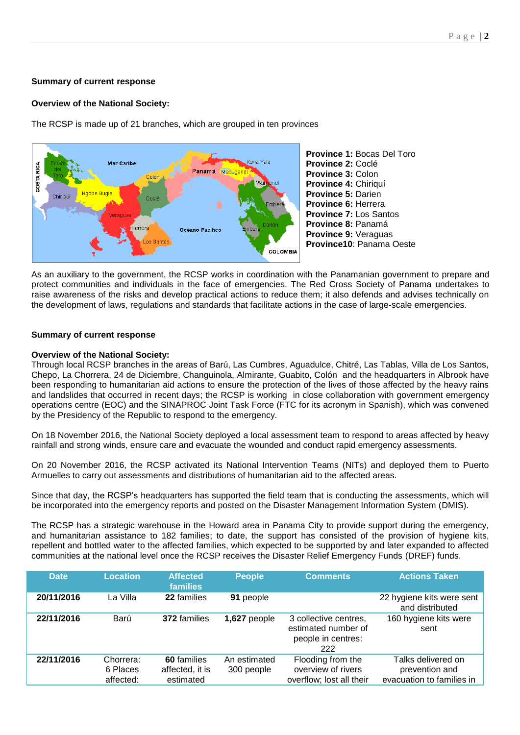#### **Summary of current response**

#### **Overview of the National Society:**

The RCSP is made up of 21 branches, which are grouped in ten provinces



As an auxiliary to the government, the RCSP works in coordination with the Panamanian government to prepare and protect communities and individuals in the face of emergencies. The Red Cross Society of Panama undertakes to raise awareness of the risks and develop practical actions to reduce them; it also defends and advises technically on the development of laws, regulations and standards that facilitate actions in the case of large-scale emergencies.

#### **Summary of current response**

#### **Overview of the National Society:**

Through local RCSP branches in the areas of Barú, Las Cumbres, Aguadulce, Chitré, Las Tablas, Villa de Los Santos, Chepo, La Chorrera, 24 de Diciembre, Changuinola, Almirante, Guabito, Colón and the headquarters in Albrook have been responding to humanitarian aid actions to ensure the protection of the lives of those affected by the heavy rains and landslides that occurred in recent days; the RCSP is working in close collaboration with government emergency operations centre (EOC) and the SINAPROC Joint Task Force (FTC for its acronym in Spanish), which was convened by the Presidency of the Republic to respond to the emergency.

On 18 November 2016, the National Society deployed a local assessment team to respond to areas affected by heavy rainfall and strong winds, ensure care and evacuate the wounded and conduct rapid emergency assessments.

On 20 November 2016, the RCSP activated its National Intervention Teams (NITs) and deployed them to Puerto Armuelles to carry out assessments and distributions of humanitarian aid to the affected areas.

Since that day, the RCSP's headquarters has supported the field team that is conducting the assessments, which will be incorporated into the emergency reports and posted on the Disaster Management Information System (DMIS).

The RCSP has a strategic warehouse in the Howard area in Panama City to provide support during the emergency, and humanitarian assistance to 182 families; to date, the support has consisted of the provision of hygiene kits, repellent and bottled water to the affected families, which expected to be supported by and later expanded to affected communities at the national level once the RCSP receives the Disaster Relief Emergency Funds (DREF) funds.

| <b>Date</b> | Location                           | <b>Affected</b><br><b>families</b>          | <b>People</b>              | <b>Comments</b>                                                           | <b>Actions Taken</b>                                              |
|-------------|------------------------------------|---------------------------------------------|----------------------------|---------------------------------------------------------------------------|-------------------------------------------------------------------|
| 20/11/2016  | La Villa                           | 22 families                                 | 91 people                  |                                                                           | 22 hygiene kits were sent<br>and distributed                      |
| 22/11/2016  | Barú                               | 372 families                                | 1,627 people               | 3 collective centres,<br>estimated number of<br>people in centres:<br>222 | 160 hygiene kits were<br>sent                                     |
| 22/11/2016  | Chorrera:<br>6 Places<br>affected: | 60 families<br>affected, it is<br>estimated | An estimated<br>300 people | Flooding from the<br>overview of rivers<br>overflow; lost all their       | Talks delivered on<br>prevention and<br>evacuation to families in |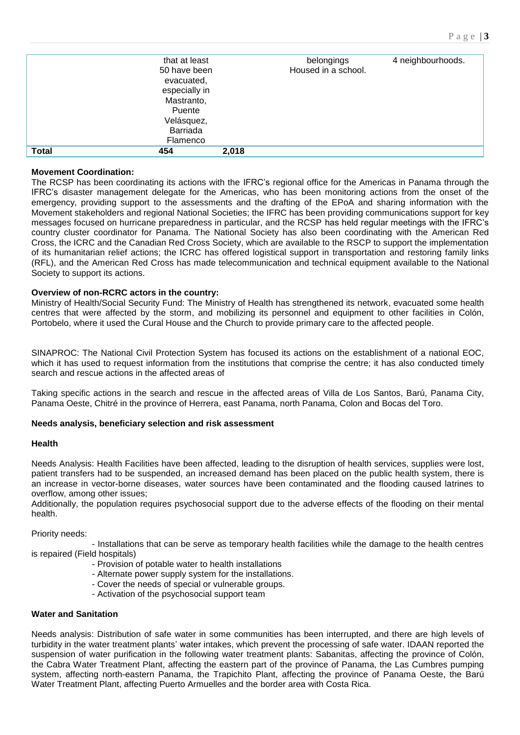|              | that at least |       | belongings          | 4 neighbourhoods. |
|--------------|---------------|-------|---------------------|-------------------|
|              | 50 have been  |       | Housed in a school. |                   |
|              | evacuated,    |       |                     |                   |
|              | especially in |       |                     |                   |
|              | Mastranto,    |       |                     |                   |
|              | Puente        |       |                     |                   |
|              | Velásquez,    |       |                     |                   |
|              | Barriada      |       |                     |                   |
|              | Flamenco      |       |                     |                   |
| <b>Total</b> | 454           | 2,018 |                     |                   |

#### **Movement Coordination:**

The RCSP has been coordinating its actions with the IFRC's regional office for the Americas in Panama through the IFRC's disaster management delegate for the Americas, who has been monitoring actions from the onset of the emergency, providing support to the assessments and the drafting of the EPoA and sharing information with the Movement stakeholders and regional National Societies; the IFRC has been providing communications support for key messages focused on hurricane preparedness in particular, and the RCSP has held regular meetings with the IFRC's country cluster coordinator for Panama. The National Society has also been coordinating with the American Red Cross, the ICRC and the Canadian Red Cross Society, which are available to the RSCP to support the implementation of its humanitarian relief actions; the ICRC has offered logistical support in transportation and restoring family links (RFL), and the American Red Cross has made telecommunication and technical equipment available to the National Society to support its actions.

#### **Overview of non-RCRC actors in the country:**

Ministry of Health/Social Security Fund: The Ministry of Health has strengthened its network, evacuated some health centres that were affected by the storm, and mobilizing its personnel and equipment to other facilities in Colón, Portobelo, where it used the Cural House and the Church to provide primary care to the affected people.

SINAPROC: The National Civil Protection System has focused its actions on the establishment of a national EOC, which it has used to request information from the institutions that comprise the centre; it has also conducted timely search and rescue actions in the affected areas of

Taking specific actions in the search and rescue in the affected areas of Villa de Los Santos, Barú, Panama City, Panama Oeste, Chitré in the province of Herrera, east Panama, north Panama, Colon and Bocas del Toro.

#### **Needs analysis, beneficiary selection and risk assessment**

#### **Health**

Needs Analysis: Health Facilities have been affected, leading to the disruption of health services, supplies were lost, patient transfers had to be suspended, an increased demand has been placed on the public health system, there is an increase in vector-borne diseases, water sources have been contaminated and the flooding caused latrines to overflow, among other issues;

Additionally, the population requires psychosocial support due to the adverse effects of the flooding on their mental health.

Priority needs:

 - Installations that can be serve as temporary health facilities while the damage to the health centres is repaired (Field hospitals)

- Provision of potable water to health installations
- Alternate power supply system for the installations.
- Cover the needs of special or vulnerable groups.
- Activation of the psychosocial support team

#### **Water and Sanitation**

Needs analysis: Distribution of safe water in some communities has been interrupted, and there are high levels of turbidity in the water treatment plants' water intakes, which prevent the processing of safe water. IDAAN reported the suspension of water purification in the following water treatment plants: Sabanitas, affecting the province of Colón, the Cabra Water Treatment Plant, affecting the eastern part of the province of Panama, the Las Cumbres pumping system, affecting north-eastern Panama, the Trapichito Plant, affecting the province of Panama Oeste, the Barú Water Treatment Plant, affecting Puerto Armuelles and the border area with Costa Rica.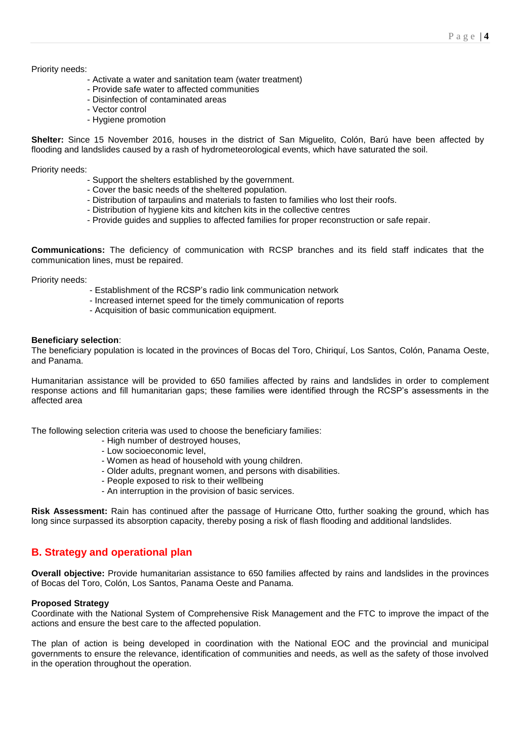#### Priority needs:

- Activate a water and sanitation team (water treatment)
- Provide safe water to affected communities
- Disinfection of contaminated areas
- Vector control
- Hygiene promotion

**Shelter:** Since 15 November 2016, houses in the district of San Miguelito, Colón, Barú have been affected by flooding and landslides caused by a rash of hydrometeorological events, which have saturated the soil.

Priority needs:

- Support the shelters established by the government.
- Cover the basic needs of the sheltered population.
- Distribution of tarpaulins and materials to fasten to families who lost their roofs.
- Distribution of hygiene kits and kitchen kits in the collective centres
- Provide guides and supplies to affected families for proper reconstruction or safe repair.

**Communications:** The deficiency of communication with RCSP branches and its field staff indicates that the communication lines, must be repaired.

Priority needs:

- Establishment of the RCSP's radio link communication network
- Increased internet speed for the timely communication of reports
- Acquisition of basic communication equipment.

#### **Beneficiary selection**:

The beneficiary population is located in the provinces of Bocas del Toro, Chiriquí, Los Santos, Colón, Panama Oeste, and Panama.

Humanitarian assistance will be provided to 650 families affected by rains and landslides in order to complement response actions and fill humanitarian gaps; these families were identified through the RCSP's assessments in the affected area

The following selection criteria was used to choose the beneficiary families:

- High number of destroyed houses,
- Low socioeconomic level,
- Women as head of household with young children.
- Older adults, pregnant women, and persons with disabilities.
- People exposed to risk to their wellbeing
- An interruption in the provision of basic services.

**Risk Assessment:** Rain has continued after the passage of Hurricane Otto, further soaking the ground, which has long since surpassed its absorption capacity, thereby posing a risk of flash flooding and additional landslides.

## **B. Strategy and operational plan**

**Overall objective:** Provide humanitarian assistance to 650 families affected by rains and landslides in the provinces of Bocas del Toro, Colón, Los Santos, Panama Oeste and Panama.

#### **Proposed Strategy**

Coordinate with the National System of Comprehensive Risk Management and the FTC to improve the impact of the actions and ensure the best care to the affected population.

The plan of action is being developed in coordination with the National EOC and the provincial and municipal governments to ensure the relevance, identification of communities and needs, as well as the safety of those involved in the operation throughout the operation.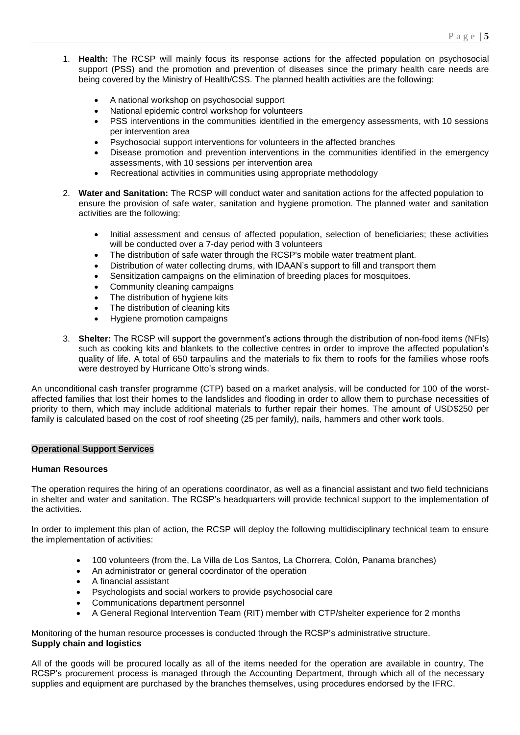- 1. **Health:** The RCSP will mainly focus its response actions for the affected population on psychosocial support (PSS) and the promotion and prevention of diseases since the primary health care needs are being covered by the Ministry of Health/CSS. The planned health activities are the following:
	- A national workshop on psychosocial support
	- National epidemic control workshop for volunteers
	- PSS interventions in the communities identified in the emergency assessments, with 10 sessions per intervention area
	- Psychosocial support interventions for volunteers in the affected branches
	- Disease promotion and prevention interventions in the communities identified in the emergency assessments, with 10 sessions per intervention area
	- Recreational activities in communities using appropriate methodology
- 2. **Water and Sanitation:** The RCSP will conduct water and sanitation actions for the affected population to ensure the provision of safe water, sanitation and hygiene promotion. The planned water and sanitation activities are the following:
	- Initial assessment and census of affected population, selection of beneficiaries; these activities will be conducted over a 7-day period with 3 volunteers
	- The distribution of safe water through the RCSP's mobile water treatment plant.
	- Distribution of water collecting drums, with IDAAN's support to fill and transport them
	- Sensitization campaigns on the elimination of breeding places for mosquitoes.
	- Community cleaning campaigns
	- The distribution of hygiene kits
	- The distribution of cleaning kits
	- Hygiene promotion campaigns
- 3. **Shelter:** The RCSP will support the government's actions through the distribution of non-food items (NFIs) such as cooking kits and blankets to the collective centres in order to improve the affected population's quality of life. A total of 650 tarpaulins and the materials to fix them to roofs for the families whose roofs were destroyed by Hurricane Otto's strong winds.

An unconditional cash transfer programme (CTP) based on a market analysis, will be conducted for 100 of the worstaffected families that lost their homes to the landslides and flooding in order to allow them to purchase necessities of priority to them, which may include additional materials to further repair their homes. The amount of USD\$250 per family is calculated based on the cost of roof sheeting (25 per family), nails, hammers and other work tools.

#### **Operational Support Services**

#### **Human Resources**

The operation requires the hiring of an operations coordinator, as well as a financial assistant and two field technicians in shelter and water and sanitation. The RCSP's headquarters will provide technical support to the implementation of the activities.

In order to implement this plan of action, the RCSP will deploy the following multidisciplinary technical team to ensure the implementation of activities:

- 100 volunteers (from the, La Villa de Los Santos, La Chorrera, Colón, Panama branches)
- An administrator or general coordinator of the operation
- A financial assistant
- Psychologists and social workers to provide psychosocial care
- Communications department personnel
- A General Regional Intervention Team (RIT) member with CTP/shelter experience for 2 months

Monitoring of the human resource processes is conducted through the RCSP's administrative structure. **Supply chain and logistics**

All of the goods will be procured locally as all of the items needed for the operation are available in country, The RCSP's procurement process is managed through the Accounting Department, through which all of the necessary supplies and equipment are purchased by the branches themselves, using procedures endorsed by the IFRC.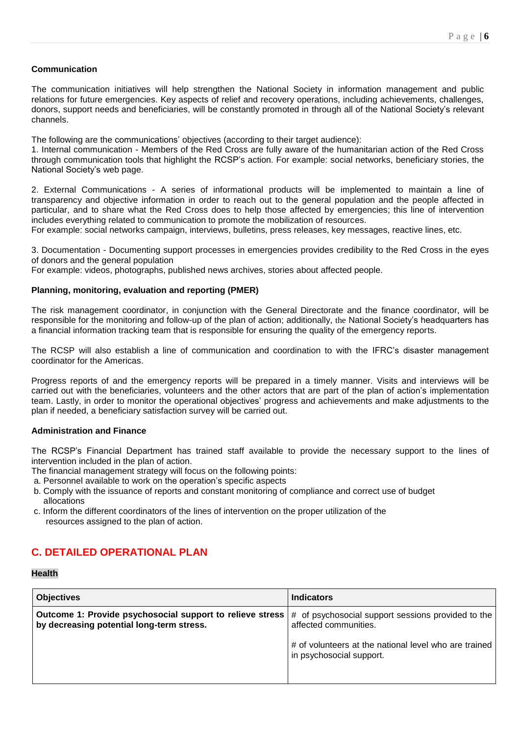#### **Communication**

The communication initiatives will help strengthen the National Society in information management and public relations for future emergencies. Key aspects of relief and recovery operations, including achievements, challenges, donors, support needs and beneficiaries, will be constantly promoted in through all of the National Society's relevant channels.

The following are the communications' objectives (according to their target audience):

1. Internal communication - Members of the Red Cross are fully aware of the humanitarian action of the Red Cross through communication tools that highlight the RCSP's action. For example: social networks, beneficiary stories, the National Society's web page.

2. External Communications - A series of informational products will be implemented to maintain a line of transparency and objective information in order to reach out to the general population and the people affected in particular, and to share what the Red Cross does to help those affected by emergencies; this line of intervention includes everything related to communication to promote the mobilization of resources.

For example: social networks campaign, interviews, bulletins, press releases, key messages, reactive lines, etc.

3. Documentation - Documenting support processes in emergencies provides credibility to the Red Cross in the eyes of donors and the general population

For example: videos, photographs, published news archives, stories about affected people.

#### **Planning, monitoring, evaluation and reporting (PMER)**

The risk management coordinator, in conjunction with the General Directorate and the finance coordinator, will be responsible for the monitoring and follow-up of the plan of action; additionally, the National Society's headquarters has a financial information tracking team that is responsible for ensuring the quality of the emergency reports.

The RCSP will also establish a line of communication and coordination to with the IFRC's disaster management coordinator for the Americas.

Progress reports of and the emergency reports will be prepared in a timely manner. Visits and interviews will be carried out with the beneficiaries, volunteers and the other actors that are part of the plan of action's implementation team. Lastly, in order to monitor the operational objectives' progress and achievements and make adjustments to the plan if needed, a beneficiary satisfaction survey will be carried out.

#### **Administration and Finance**

The RCSP's Financial Department has trained staff available to provide the necessary support to the lines of intervention included in the plan of action.

The financial management strategy will focus on the following points:

- a. Personnel available to work on the operation's specific aspects
- b. Comply with the issuance of reports and constant monitoring of compliance and correct use of budget allocations
- c. Inform the different coordinators of the lines of intervention on the proper utilization of the resources assigned to the plan of action.

## **C. DETAILED OPERATIONAL PLAN**

#### **Health**

| <b>Objectives</b>                                                                                      | <b>Indicators</b>                                                                 |
|--------------------------------------------------------------------------------------------------------|-----------------------------------------------------------------------------------|
| Outcome 1: Provide psychosocial support to relieve stress<br>by decreasing potential long-term stress. | # of psychosocial support sessions provided to the<br>affected communities.       |
|                                                                                                        | # of volunteers at the national level who are trained<br>in psychosocial support. |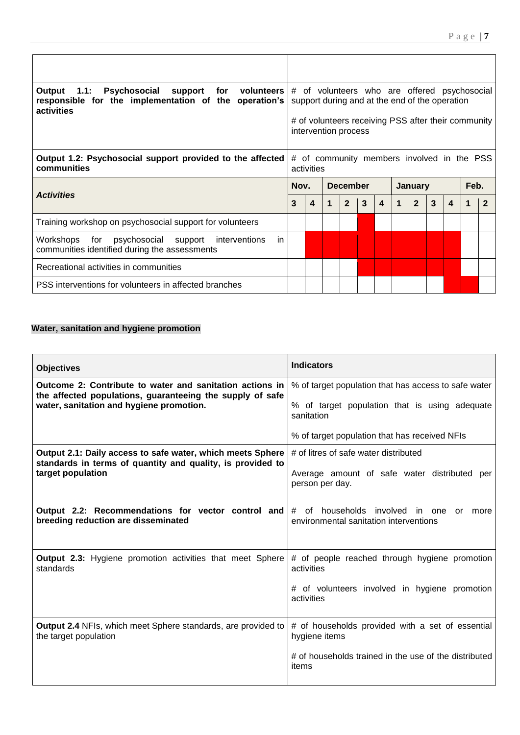| Output 1.1: Psychosocial<br>for volunteers<br>support<br>responsible for the implementation of the operation's<br>activities | # of volunteers who are offered psychosocial<br>support during and at the end of the operation |                  |             |                 |   |                  |  |                |              |                  |   |      |  |
|------------------------------------------------------------------------------------------------------------------------------|------------------------------------------------------------------------------------------------|------------------|-------------|-----------------|---|------------------|--|----------------|--------------|------------------|---|------|--|
|                                                                                                                              | # of volunteers receiving PSS after their community<br>intervention process                    |                  |             |                 |   |                  |  |                |              |                  |   |      |  |
| Output 1.2: Psychosocial support provided to the affected<br>communities                                                     | # of community members involved in the PSS<br>activities                                       |                  |             |                 |   |                  |  |                |              |                  |   |      |  |
|                                                                                                                              | Nov.                                                                                           |                  |             | <b>December</b> |   |                  |  | <b>January</b> |              |                  |   | Feb. |  |
|                                                                                                                              | 3                                                                                              |                  |             |                 |   |                  |  |                |              |                  |   |      |  |
| <b>Activities</b>                                                                                                            |                                                                                                | $\boldsymbol{4}$ | $\mathbf 1$ | $\overline{2}$  | 3 | $\boldsymbol{4}$ |  | $\overline{2}$ | $\mathbf{3}$ | $\boldsymbol{4}$ | 1 |      |  |
| Training workshop on psychosocial support for volunteers                                                                     |                                                                                                |                  |             |                 |   |                  |  |                |              |                  |   |      |  |
| Workshops for psychosocial support<br>in<br>interventions<br>communities identified during the assessments                   |                                                                                                |                  |             |                 |   |                  |  |                |              |                  |   |      |  |
| Recreational activities in communities                                                                                       |                                                                                                |                  |             |                 |   |                  |  |                |              |                  |   |      |  |

## **Water, sanitation and hygiene promotion**

| <b>Objectives</b>                                                                                                        | <b>Indicators</b>                                                                          |
|--------------------------------------------------------------------------------------------------------------------------|--------------------------------------------------------------------------------------------|
| Outcome 2: Contribute to water and sanitation actions in                                                                 | % of target population that has access to safe water                                       |
| the affected populations, guaranteeing the supply of safe<br>water, sanitation and hygiene promotion.                    | % of target population that is using adequate<br>sanitation                                |
|                                                                                                                          | % of target population that has received NFIs                                              |
| Output 2.1: Daily access to safe water, which meets Sphere<br>standards in terms of quantity and quality, is provided to | # of litres of safe water distributed                                                      |
| target population                                                                                                        | Average amount of safe water distributed per<br>person per day.                            |
| Output 2.2: Recommendations for vector control and<br>breeding reduction are disseminated                                | # of households involved in<br>one<br>more<br>or<br>environmental sanitation interventions |
| <b>Output 2.3:</b> Hygiene promotion activities that meet Sphere<br>standards                                            | # of people reached through hygiene promotion<br>activities                                |
|                                                                                                                          | # of volunteers involved in hygiene promotion<br>activities                                |
| <b>Output 2.4 NFIs, which meet Sphere standards, are provided to</b><br>the target population                            | # of households provided with a set of essential<br>hygiene items                          |
|                                                                                                                          | # of households trained in the use of the distributed<br>items                             |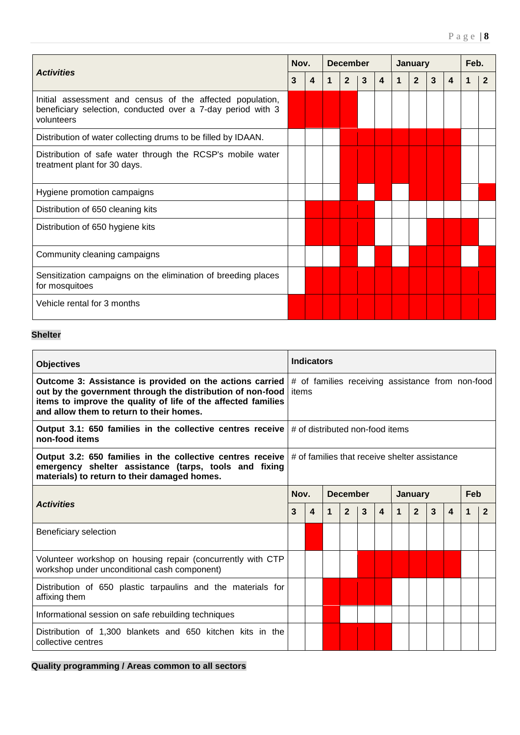|                                                                                                                                        |   | Nov. |   | <b>December</b> |   |   |   | January        | Feb.         |   |   |              |
|----------------------------------------------------------------------------------------------------------------------------------------|---|------|---|-----------------|---|---|---|----------------|--------------|---|---|--------------|
| <b>Activities</b>                                                                                                                      | 3 | 4    | 1 | $\overline{2}$  | 3 | 4 | 1 | $\overline{2}$ | $\mathbf{3}$ | 4 | 1 | $\mathbf{2}$ |
| Initial assessment and census of the affected population,<br>beneficiary selection, conducted over a 7-day period with 3<br>volunteers |   |      |   |                 |   |   |   |                |              |   |   |              |
| Distribution of water collecting drums to be filled by IDAAN.                                                                          |   |      |   |                 |   |   |   |                |              |   |   |              |
| Distribution of safe water through the RCSP's mobile water<br>treatment plant for 30 days.                                             |   |      |   |                 |   |   |   |                |              |   |   |              |
| Hygiene promotion campaigns                                                                                                            |   |      |   |                 |   |   |   |                |              |   |   |              |
| Distribution of 650 cleaning kits                                                                                                      |   |      |   |                 |   |   |   |                |              |   |   |              |
| Distribution of 650 hygiene kits                                                                                                       |   |      |   |                 |   |   |   |                |              |   |   |              |
| Community cleaning campaigns                                                                                                           |   |      |   |                 |   |   |   |                |              |   |   |              |
| Sensitization campaigns on the elimination of breeding places<br>for mosquitoes                                                        |   |      |   |                 |   |   |   |                |              |   |   |              |
| Vehicle rental for 3 months                                                                                                            |   |      |   |                 |   |   |   |                |              |   |   |              |

## **Shelter**

| <b>Objectives</b>                                                                                                                                                                                                                   |                                                           | <b>Indicators</b> |             |                 |   |                         |              |                |              |                  |   |                |  |
|-------------------------------------------------------------------------------------------------------------------------------------------------------------------------------------------------------------------------------------|-----------------------------------------------------------|-------------------|-------------|-----------------|---|-------------------------|--------------|----------------|--------------|------------------|---|----------------|--|
| Outcome 3: Assistance is provided on the actions carried<br>out by the government through the distribution of non-food<br>items to improve the quality of life of the affected families<br>and allow them to return to their homes. | # of families receiving assistance from non-food<br>items |                   |             |                 |   |                         |              |                |              |                  |   |                |  |
| Output 3.1: 650 families in the collective centres receive<br>non-food items                                                                                                                                                        | # of distributed non-food items                           |                   |             |                 |   |                         |              |                |              |                  |   |                |  |
| Output 3.2: 650 families in the collective centres receive<br>emergency shelter assistance (tarps, tools and fixing<br>materials) to return to their damaged homes.                                                                 | # of families that receive shelter assistance             |                   |             |                 |   |                         |              |                |              |                  |   |                |  |
|                                                                                                                                                                                                                                     | Nov.                                                      |                   |             | <b>December</b> |   |                         |              | <b>January</b> |              |                  |   | Feb            |  |
| <b>Activities</b>                                                                                                                                                                                                                   | 3                                                         | 4                 | $\mathbf 1$ | $\overline{2}$  | 3 | $\overline{\mathbf{4}}$ | $\mathbf{1}$ | $\overline{2}$ | $\mathbf{3}$ | $\boldsymbol{4}$ | 1 | $\overline{2}$ |  |
| Beneficiary selection                                                                                                                                                                                                               |                                                           |                   |             |                 |   |                         |              |                |              |                  |   |                |  |
| Volunteer workshop on housing repair (concurrently with CTP<br>workshop under unconditional cash component)                                                                                                                         |                                                           |                   |             |                 |   |                         |              |                |              |                  |   |                |  |
| Distribution of 650 plastic tarpaulins and the materials for<br>affixing them                                                                                                                                                       |                                                           |                   |             |                 |   |                         |              |                |              |                  |   |                |  |
| Informational session on safe rebuilding techniques                                                                                                                                                                                 |                                                           |                   |             |                 |   |                         |              |                |              |                  |   |                |  |
| Distribution of 1.300 blankets and 650 kitchen kits in the<br>collective centres                                                                                                                                                    |                                                           |                   |             |                 |   |                         |              |                |              |                  |   |                |  |

**Quality programming / Areas common to all sectors**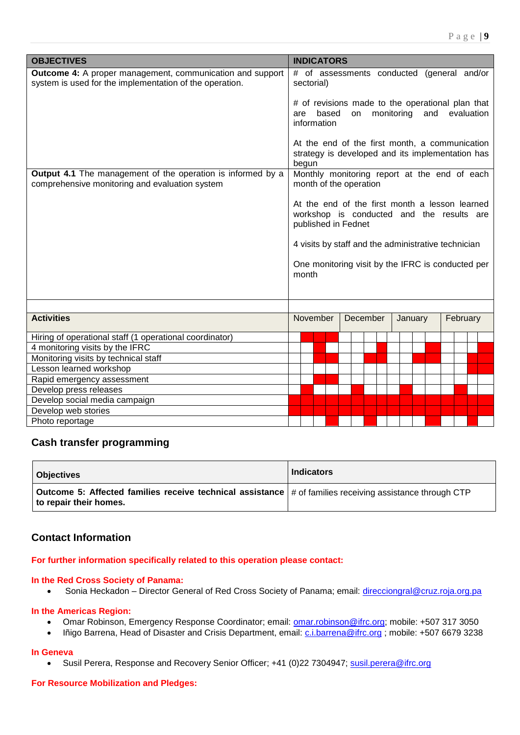<span id="page-8-0"></span>

| <b>OBJECTIVES</b>                                                                                                           | <b>INDICATORS</b>                                                                                                        |
|-----------------------------------------------------------------------------------------------------------------------------|--------------------------------------------------------------------------------------------------------------------------|
| <b>Outcome 4:</b> A proper management, communication and support<br>system is used for the implementation of the operation. | # of assessments conducted (general and/or<br>sectorial)                                                                 |
|                                                                                                                             | # of revisions made to the operational plan that<br>based<br>monitoring<br>evaluation<br>on<br>and<br>are<br>information |
|                                                                                                                             | At the end of the first month, a communication<br>strategy is developed and its implementation has<br>begun              |
| <b>Output 4.1</b> The management of the operation is informed by a<br>comprehensive monitoring and evaluation system        | Monthly monitoring report at the end of each<br>month of the operation                                                   |
|                                                                                                                             | At the end of the first month a lesson learned<br>workshop is conducted and the results are<br>published in Fednet       |
|                                                                                                                             | 4 visits by staff and the administrative technician                                                                      |
|                                                                                                                             | One monitoring visit by the IFRC is conducted per<br>month                                                               |
|                                                                                                                             |                                                                                                                          |
| <b>Activities</b>                                                                                                           | November<br>December<br>February<br>January                                                                              |
| Hiring of operational staff (1 operational coordinator)                                                                     |                                                                                                                          |
| 4 monitoring visits by the IFRC                                                                                             |                                                                                                                          |
| Monitoring visits by technical staff                                                                                        |                                                                                                                          |
| Lesson learned workshop                                                                                                     |                                                                                                                          |
| Rapid emergency assessment                                                                                                  |                                                                                                                          |
| Develop press releases                                                                                                      |                                                                                                                          |
| Develop social media campaign                                                                                               |                                                                                                                          |
| Develop web stories                                                                                                         |                                                                                                                          |
| Photo reportage                                                                                                             |                                                                                                                          |

## **Cash transfer programming**

| <b>Objectives</b>                                                                                                                              | <b>Indicators</b> |
|------------------------------------------------------------------------------------------------------------------------------------------------|-------------------|
| Outcome 5: Affected families receive technical assistance $\frac{1}{2}$ of families receiving assistance through CTP<br>to repair their homes. |                   |

## **Contact Information**

### **For further information specifically related to this operation please contact:**

#### **In the Red Cross Society of Panama:**

• Sonia Heckadon – Director General of Red Cross Society of Panama; email: [direcciongral@cruz.roja.org.pa](mailto:direcciongral@cruz.roja.org.pa)

#### **In the Americas Region:**

- Omar Robinson, Emergency Response Coordinator; email: [omar.robinson@ifrc.org;](mailto:omar.robinson@ifrc.org) mobile: +507 317 3050
- Iñigo Barrena, Head of Disaster and Crisis Department, email: [c.i.barrena@ifrc.org](mailto:c.i.barrena@ifrc.org) ; mobile: +507 6679 3238

#### **In Geneva**

Susil Perera, Response and Recovery Senior Officer; +41 (0)22 7304947; [susil.perera@ifrc.org](mailto:christine.south@ifrc.org)

#### **For Resource Mobilization and Pledges:**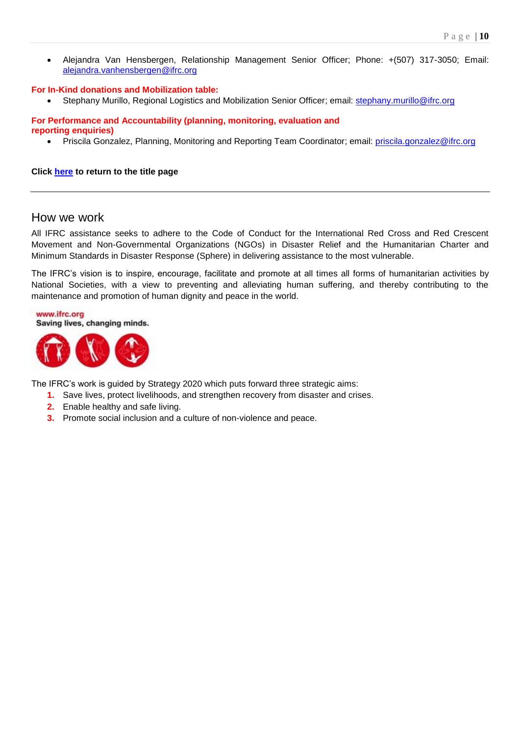Alejandra Van Hensbergen, Relationship Management Senior Officer; Phone: +(507) 317-3050; Email: [alejandra.vanhensbergen@ifrc.org](mailto:alejandra.vanhensbergen@ifrc.org)

#### **For In-Kind donations and Mobilization table:**

Stephany Murillo, Regional Logistics and Mobilization Senior Officer; email: [stephany.murillo@ifrc.org](mailto:stephany.murillo@ifrc.org)

#### **For Performance and Accountability (planning, monitoring, evaluation and reporting enquiries)**

Priscila Gonzalez, Planning, Monitoring and Reporting Team Coordinator; email: [priscila.gonzalez@ifrc.org](mailto:priscila.gonzalez@ifrc.org)

#### **Click here [to return to the title page](#page-0-0)**

## How we work

All IFRC assistance seeks to adhere to the Code of Conduct for the International Red Cross and Red Crescent Movement and Non-Governmental Organizations (NGOs) in Disaster Relief and the Humanitarian Charter and Minimum Standards in Disaster Response (Sphere) in delivering assistance to the most vulnerable.

The IFRC's vision is to inspire, encourage, facilitate and promote at all times all forms of humanitarian activities by National Societies, with a view to preventing and alleviating human suffering, and thereby contributing to the maintenance and promotion of human dignity and peace in the world.

www.ifrc.org Saving lives, changing minds.



The IFRC's work is guided by Strategy 2020 which puts forward three strategic aims:

- **1.** Save lives, protect livelihoods, and strengthen recovery from disaster and crises.
- **2.** Enable healthy and safe living.
- **3.** Promote social inclusion and a culture of non-violence and peace.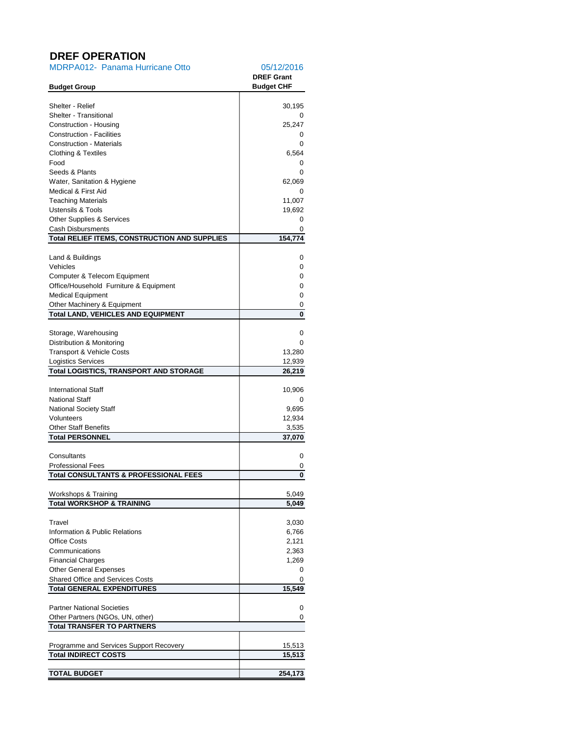# <span id="page-10-0"></span>**DREF OPERATION**

| <b>MDRPA012- Panama Hurricane Otto</b>                                       | 05/12/2016<br><b>DREF Grant</b> |
|------------------------------------------------------------------------------|---------------------------------|
| <b>Budget Group</b>                                                          | <b>Budget CHF</b>               |
| Shelter - Relief                                                             | 30,195                          |
| <b>Shelter - Transitional</b>                                                | 0                               |
| Construction - Housing                                                       | 25,247                          |
| <b>Construction - Facilities</b>                                             | 0                               |
| <b>Construction - Materials</b>                                              | 0                               |
| Clothing & Textiles<br>Food                                                  | 6,564                           |
| Seeds & Plants                                                               | 0<br>0                          |
| Water, Sanitation & Hygiene                                                  | 62,069                          |
| Medical & First Aid                                                          | 0                               |
| <b>Teaching Materials</b>                                                    | 11,007                          |
| <b>Ustensils &amp; Tools</b>                                                 | 19,692                          |
| <b>Other Supplies &amp; Services</b>                                         | 0                               |
| <b>Cash Disbursments</b>                                                     | 0                               |
| <b>Total RELIEF ITEMS, CONSTRUCTION AND SUPPLIES</b>                         | 154,774                         |
| Land & Buildings                                                             | 0                               |
| Vehicles                                                                     | 0                               |
| Computer & Telecom Equipment                                                 | 0                               |
| Office/Household Furniture & Equipment                                       | 0                               |
| <b>Medical Equipment</b>                                                     | 0                               |
| Other Machinery & Equipment<br><b>Total LAND, VEHICLES AND EQUIPMENT</b>     | 0<br>0                          |
|                                                                              |                                 |
| Storage, Warehousing                                                         | 0                               |
| Distribution & Monitoring                                                    | 0                               |
| Transport & Vehicle Costs                                                    | 13,280                          |
| <b>Logistics Services</b>                                                    | 12,939                          |
| <b>Total LOGISTICS, TRANSPORT AND STORAGE</b>                                | 26,219                          |
| <b>International Staff</b>                                                   | 10,906                          |
| <b>National Staff</b>                                                        | 0                               |
| National Society Staff                                                       | 9,695                           |
| Volunteers                                                                   | 12,934                          |
| <b>Other Staff Benefits</b>                                                  | 3,535                           |
| <b>Total PERSONNEL</b>                                                       | 37,070                          |
| Consultants                                                                  | 0                               |
| <b>Professional Fees</b>                                                     | 0                               |
| <b>Total CONSULTANTS &amp; PROFESSIONAL FEES</b>                             | 0                               |
|                                                                              |                                 |
| Workshops & Training<br><b>Total WORKSHOP &amp; TRAINING</b>                 | 5,049<br>5,049                  |
|                                                                              |                                 |
| Travel                                                                       | 3,030                           |
| Information & Public Relations                                               | 6,766                           |
| <b>Office Costs</b>                                                          | 2,121                           |
| Communications                                                               | 2,363                           |
| <b>Financial Charges</b>                                                     | 1,269                           |
| <b>Other General Expenses</b>                                                | 0                               |
| <b>Shared Office and Services Costs</b><br><b>Total GENERAL EXPENDITURES</b> | 0<br>15,549                     |
|                                                                              |                                 |
| <b>Partner National Societies</b>                                            | 0                               |
| Other Partners (NGOs, UN, other)                                             | 0                               |
| <b>Total TRANSFER TO PARTNERS</b>                                            |                                 |
|                                                                              |                                 |
| Programme and Services Support Recovery<br><b>Total INDIRECT COSTS</b>       | 15,513                          |
|                                                                              | 15,513                          |
| <b>TOTAL BUDGET</b>                                                          | 254,173                         |